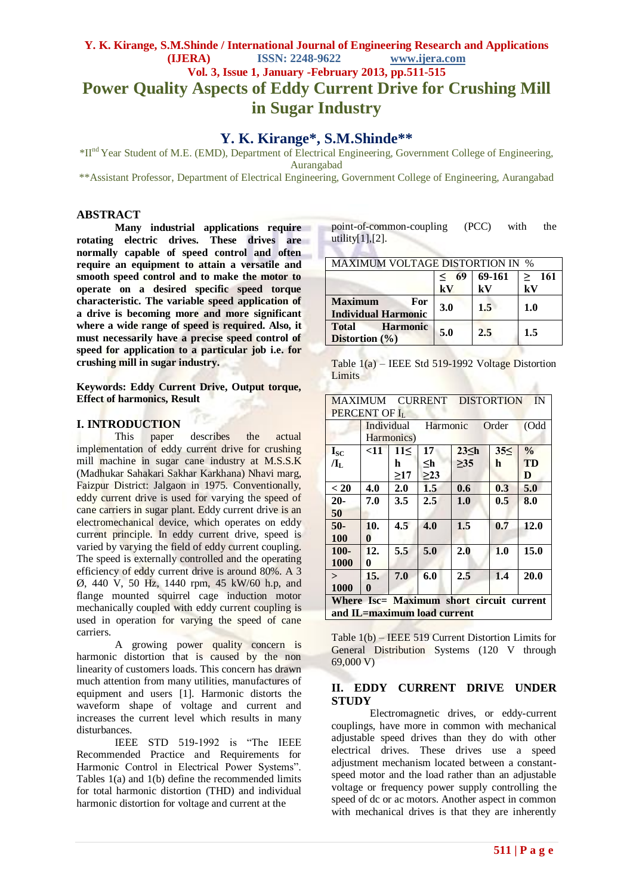# **Y. K. Kirange, S.M.Shinde / International Journal of Engineering Research and Applications (IJERA) ISSN: 2248-9622 www.ijera.com Vol. 3, Issue 1, January -February 2013, pp.511-515 Power Quality Aspects of Eddy Current Drive for Crushing Mill in Sugar Industry**

# **Y. K. Kirange\*, S.M.Shinde\*\***

\*IInd Year Student of M.E. (EMD), Department of Electrical Engineering, Government College of Engineering, Aurangabad

\*\*Assistant Professor, Department of Electrical Engineering, Government College of Engineering, Aurangabad

## **ABSTRACT**

**Many industrial applications require rotating electric drives. These drives are normally capable of speed control and often require an equipment to attain a versatile and smooth speed control and to make the motor to operate on a desired specific speed torque characteristic. The variable speed application of a drive is becoming more and more significant where a wide range of speed is required. Also, it must necessarily have a precise speed control of speed for application to a particular job i.e. for crushing mill in sugar industry.**

**Keywords: Eddy Current Drive, Output torque, Effect of harmonics, Result**

## **I. INTRODUCTION**

This paper describes the actual implementation of eddy current drive for crushing mill machine in sugar cane industry at M.S.S.K (Madhukar Sahakari Sakhar Karkhana) Nhavi marg, Faizpur District: Jalgaon in 1975. Conventionally, eddy current drive is used for varying the speed of cane carriers in sugar plant. Eddy current drive is an electromechanical device, which operates on eddy current principle. In eddy current drive, speed is varied by varying the field of eddy current coupling. The speed is externally controlled and the operating efficiency of eddy current drive is around 80%. A 3 Ø, 440 V, 50 Hz, 1440 rpm, 45 kW/60 h.p, and flange mounted squirrel cage induction motor mechanically coupled with eddy current coupling is used in operation for varying the speed of cane carriers.

A growing power quality concern is harmonic distortion that is caused by the non linearity of customers loads. This concern has drawn much attention from many utilities, manufactures of equipment and users [1]. Harmonic distorts the waveform shape of voltage and current and increases the current level which results in many disturbances.

IEEE STD 519-1992 is "The IEEE Recommended Practice and Requirements for Harmonic Control in Electrical Power Systems". Tables 1(a) and 1(b) define the recommended limits for total harmonic distortion (THD) and individual harmonic distortion for voltage and current at the

| point-of-common-coupling | (PCC) | with the |  |
|--------------------------|-------|----------|--|
| utility $[1]$ , $[2]$ .  |       |          |  |

| <b>MAXIMUM VOLTAGE DISTORTION IN %</b>                |             |        |                         |  |
|-------------------------------------------------------|-------------|--------|-------------------------|--|
|                                                       | 69<br>$\lt$ | 69-161 | $\geq 161$              |  |
|                                                       | kV          | kV     | $\mathbf{k} \mathbf{V}$ |  |
| <b>Maximum</b><br>For<br><b>Individual Harmonic</b>   | 3.0         | 1.5    | 1.0                     |  |
| <b>Harmonic</b><br><b>Total</b><br>Distortion $(\% )$ | 5.0         | 2.5    | 1.5                     |  |

| Table $1(a)$ – IEEE Std 519-1992 Voltage Distortion |
|-----------------------------------------------------|
| Limits                                              |
|                                                     |

|                                          | IN<br><b>MAXIMUM</b><br>CURRENT DISTORTION |            |     |             |         |               |
|------------------------------------------|--------------------------------------------|------------|-----|-------------|---------|---------------|
| <b>PERCENT OF ILL</b>                    |                                            |            |     |             |         |               |
|                                          | Individual<br>Harmonic<br>Order            |            |     | (Odd        |         |               |
|                                          |                                            | Harmonics) |     |             |         |               |
| <b>Isc</b>                               | $<$ 11                                     | 11<        | 17  | $23 \leq h$ | 35<     | $\frac{0}{0}$ |
| $\mathbf{I}_{\mathrm{L}}$                |                                            | h          | ≤h  | >35         | h       | <b>TD</b>     |
|                                          |                                            | >17        | >23 |             |         | D             |
| < 20                                     | 4.0                                        | 2.0        | 1.5 | 0.6         | 0.3     | 5.0           |
| $20 -$                                   | 7.0                                        | 3.5        | 2.5 | 1.0         | $0.5\,$ | 8.0           |
| 50                                       |                                            |            |     |             |         |               |
| $50-$                                    | 10.                                        | 4.5        | 4.0 | 1.5         | 0.7     | 12.0          |
| <b>100</b>                               | $\bf{0}$                                   |            |     |             |         |               |
| $100 -$                                  | 12.                                        | 5.5        | 5.0 | 2.0         | 1.0     | 15.0          |
| 1000                                     | 0                                          |            |     |             |         |               |
| $\geq$                                   | 15.                                        | 7.0        | 6.0 | 2.5         | 1.4     | 20.0          |
| 1000                                     | 0                                          |            |     |             |         |               |
| Where Isc= Maximum short circuit current |                                            |            |     |             |         |               |
| and IL=maximum load current              |                                            |            |     |             |         |               |

Table 1(b) – IEEE 519 Current Distortion Limits for General Distribution Systems (120 V through 69,000 V)

## **II. EDDY CURRENT DRIVE UNDER STUDY**

Electromagnetic drives, or eddy-current couplings, have more in common with mechanical adjustable speed drives than they do with other electrical drives. These drives use a speed adjustment mechanism located between a constantspeed motor and the load rather than an adjustable voltage or frequency power supply controlling the speed of dc or ac motors. Another aspect in common with mechanical drives is that they are inherently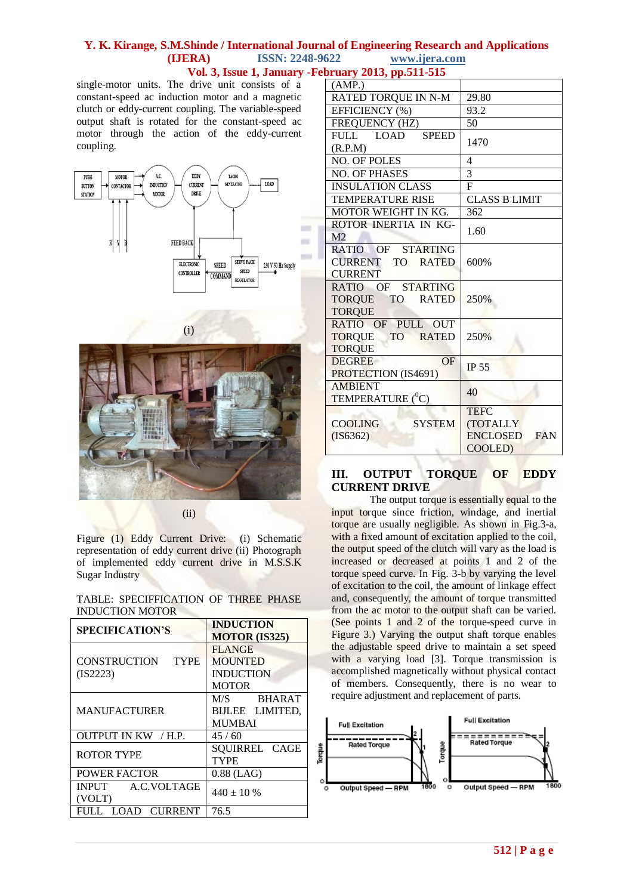single-motor units. The drive unit consists of a constant-speed ac induction motor and a magnetic clutch or eddy-current coupling. The variable-speed output shaft is rotated for the constant-speed ac motor through the action of the eddy-current coupling.





(i)

(ii)

Figure (1) Eddy Current Drive: (i) Schematic representation of eddy current drive (ii) Photograph of implemented eddy current drive in M.S.S.K Sugar Industry

TABLE: SPECIFFICATION OF THREE PHASE INDUCTION MOTOR

| <b>SPECIFICATION'S</b>                  | <b>INDUCTION</b><br><b>MOTOR (IS325)</b>                            |  |
|-----------------------------------------|---------------------------------------------------------------------|--|
| CONSTRUCTION<br><b>TYPE</b><br>(IS2223) | <b>FLANGE</b><br><b>MOUNTED</b><br><b>INDUCTION</b><br><b>MOTOR</b> |  |
| <b>MANUFACTURER</b>                     | M/S BHARAT<br>BIJLEE LIMITED.<br><b>MUMBAI</b>                      |  |
| OUTPUT IN KW / H.P.                     | 45/60                                                               |  |
| <b>ROTOR TYPE</b>                       | SQUIRREL CAGE<br><b>TYPE</b>                                        |  |
| <b>POWER FACTOR</b>                     | $0.88$ (LAG)                                                        |  |
| INPUT A.C.VOLTAGE<br>(VOLT)             | $440 \pm 10\%$                                                      |  |
| FULL LOAD CURRENT                       | 76.5                                                                |  |

| (AMP.)                          |                      |  |
|---------------------------------|----------------------|--|
| RATED TORQUE IN N-M             | 29.80                |  |
| EFFICIENCY (%)                  | 93.2                 |  |
| FREQUENCY (HZ)                  | 50                   |  |
| FULL LOAD SPEED                 | 1470                 |  |
| (R.P.M)                         |                      |  |
| <b>NO. OF POLES</b>             | 4                    |  |
| <b>NO. OF PHASES</b>            | 3                    |  |
| <b>INSULATION CLASS</b>         | $\mathbf{F}$         |  |
| <b>TEMPERATURE RISE</b>         | <b>CLASS B LIMIT</b> |  |
| MOTOR WEIGHT IN KG.             | 362                  |  |
| ROTOR INERTIA IN KG-            | 1.60                 |  |
| M <sub>2</sub>                  |                      |  |
| RATIO OF STARTING               |                      |  |
| <b>CURRENT TO RATED</b>         | 600%                 |  |
| <b>CURRENT</b>                  |                      |  |
| RATIO OF STARTING               |                      |  |
| TORQUE TO<br><b>RATED</b>       | 250%                 |  |
| <b>TORQUE</b>                   |                      |  |
| RATIO OF PULL OUT               |                      |  |
| TORQUE TO RATED                 | 250%                 |  |
| <b>TORQUE</b>                   |                      |  |
| OF<br><b>DEGREE</b>             | IP 55                |  |
| PROTECTION (IS4691)             |                      |  |
| <b>AMBIENT</b>                  | 40                   |  |
| <b>TEMPERATURE</b> $(^{0}C)$    |                      |  |
|                                 | <b>TEFC</b>          |  |
| <b>COOLING</b><br><b>SYSTEM</b> | (TOTALLY             |  |
| (IS6362)                        | ENCLOSED FAN         |  |
|                                 | COOLED)              |  |
|                                 |                      |  |

# **III. OUTPUT TORQUE OF EDDY CURRENT DRIVE**

The output torque is essentially equal to the input torque since friction, windage, and inertial torque are usually negligible. As shown in Fig.3-a, with a fixed amount of excitation applied to the coil, the output speed of the clutch will vary as the load is increased or decreased at points 1 and 2 of the torque speed curve. In Fig. 3-b by varying the level of excitation to the coil, the amount of linkage effect and, consequently, the amount of torque transmitted from the ac motor to the output shaft can be varied. (See points 1 and 2 of the torque-speed curve in Figure 3.) Varying the output shaft torque enables the adjustable speed drive to maintain a set speed with a varying load [3]. Torque transmission is accomplished magnetically without physical contact of members. Consequently, there is no wear to require adjustment and replacement of parts.

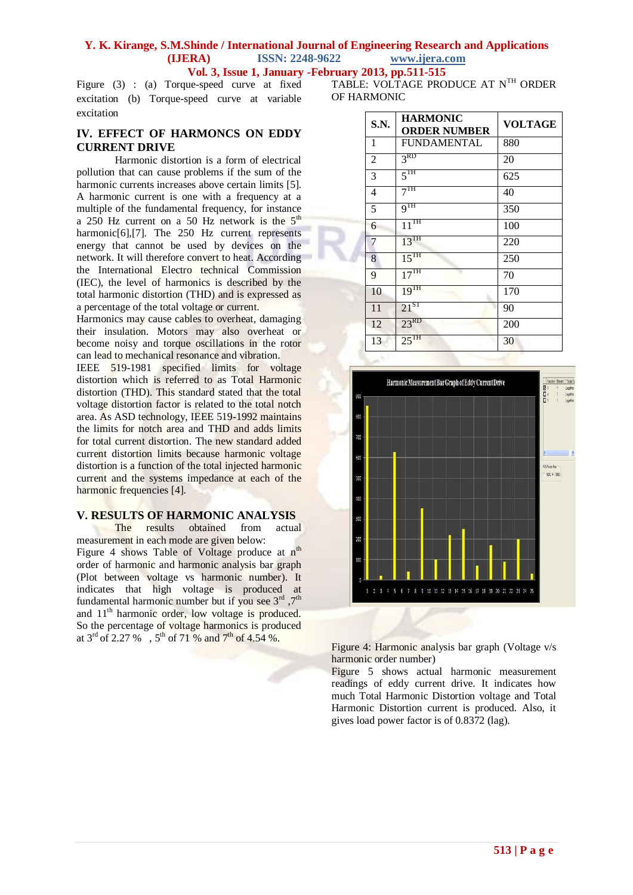Figure (3) : (a) Torque-speed curve at fixed excitation (b) Torque-speed curve at variable excitation

# **IV. EFFECT OF HARMONCS ON EDDY CURRENT DRIVE**

Harmonic distortion is a form of electrical pollution that can cause problems if the sum of the harmonic currents increases above certain limits [5]. A harmonic current is one with a frequency at a multiple of the fundamental frequency, for instance a 250 Hz current on a 50 Hz network is the  $5<sup>th</sup>$ harmonic[6],[7]. The 250 Hz current represents energy that cannot be used by devices on the network. It will therefore convert to heat. According the International Electro technical Commission (IEC), the level of harmonics is described by the total harmonic distortion (THD) and is expressed as a percentage of the total voltage or current.

Harmonics may cause cables to overheat, damaging their insulation. Motors may also overheat or become noisy and torque oscillations in the rotor can lead to mechanical resonance and vibration.

IEEE 519-1981 specified limits for voltage distortion which is referred to as Total Harmonic distortion (THD). This standard stated that the total voltage distortion factor is related to the total notch area. As ASD technology, IEEE 519-1992 maintains the limits for notch area and THD and adds limits for total current distortion. The new standard added current distortion limits because harmonic voltage distortion is a function of the total injected harmonic current and the systems impedance at each of the harmonic frequencies [4].

# **V. RESULTS OF HARMONIC ANALYSIS**

The results obtained from actual measurement in each mode are given below: Figure 4 shows Table of Voltage produce at  $n^{th}$ order of harmonic and harmonic analysis bar graph (Plot between voltage vs harmonic number). It indicates that high voltage is produced at fundamental harmonic number but if you see  $3<sup>rd</sup>$ ,  $7<sup>th</sup>$ and 11<sup>th</sup> harmonic order, low voltage is produced. So the percentage of voltage harmonics is produced at  $3^{\text{rd}}$  of 2.27 %,  $5^{\text{th}}$  of 71 % and  $7^{\text{th}}$  of 4.54 %.

TABLE: VOLTAGE PRODUCE AT NTH ORDER OF HARMONIC

| S.N.           | <b>HARMONIC</b><br><b>ORDER NUMBER</b> | <b>VOLTAGE</b> |
|----------------|----------------------------------------|----------------|
| 1              | <b>FUNDAMENTAL</b>                     | 880            |
| $\overline{2}$ | 3 <sup>RD</sup>                        | 20             |
| 3              | 5 <sup>TH</sup>                        | 625            |
| 4              | 7 <sup>TH</sup>                        | 40             |
| 5              | 9 <sup>TH</sup>                        | 350            |
| 6              | $11^{\text{TH}}$                       | 100            |
| 7              | $13^{\text{TH}}$                       | 220            |
| 8              | $15^{TH}$                              | 250            |
| 9              | 17 <sup>TH</sup>                       | 70             |
| 10             | $19^{TH}$                              | 170            |
| 11             | $21^{ST}$                              | 90             |
| 12             | $23^{RD}$                              | 200            |
| 13             | $25$ <sup>TH</sup>                     | 30             |



Figure 4: Harmonic analysis bar graph (Voltage v/s harmonic order number)

Figure 5 shows actual harmonic measurement readings of eddy current drive. It indicates how much Total Harmonic Distortion voltage and Total Harmonic Distortion current is produced. Also, it gives load power factor is of 0.8372 (lag).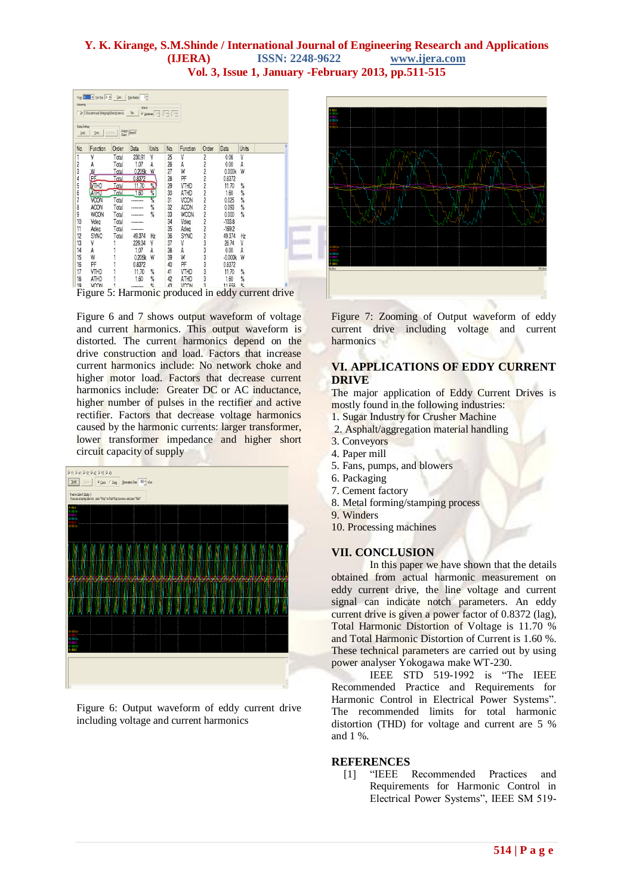

Figure 6 and 7 shows output waveform of voltage and current harmonics. This output waveform is distorted. The current harmonics depend on the drive construction and load. Factors that increase current harmonics include: No network choke and higher motor load. Factors that decrease current harmonics include: Greater DC or AC inductance, higher number of pulses in the rectifier and active rectifier. Factors that decrease voltage harmonics caused by the harmonic currents: larger transformer, lower transformer impedance and higher short circuit capacity of supply



Figure 6: Output waveform of eddy current drive including voltage and current harmonics



Figure 7: Zooming of Output waveform of eddy current drive including voltage and current harmonics

# **VI. APPLICATIONS OF EDDY CURRENT DRIVE**

The major application of Eddy Current Drives is mostly found in the following industries:

- 1. Sugar Industry for Crusher Machine
- 2. Asphalt/aggregation material handling
- 3. Conveyors
- 4. Paper mill
- 5. Fans, pumps, and blowers
- 6. Packaging
- 7. Cement factory
- 8. Metal forming/stamping process
- 9. Winders
- 10. Processing machines

# **VII. CONCLUSION**

In this paper we have shown that the details obtained from actual harmonic measurement on eddy current drive, the line voltage and current signal can indicate notch parameters. An eddy current drive is given a power factor of 0.8372 (lag), Total Harmonic Distortion of Voltage is 11.70 % and Total Harmonic Distortion of Current is 1.60 %. These technical parameters are carried out by using power analyser Yokogawa make WT-230.

IEEE STD 519-1992 is "The IEEE Recommended Practice and Requirements for Harmonic Control in Electrical Power Systems". The recommended limits for total harmonic distortion (THD) for voltage and current are 5 % and 1 %.

#### **REFERENCES**

[1] "IEEE Recommended Practices and Requirements for Harmonic Control in Electrical Power Systems", IEEE SM 519-